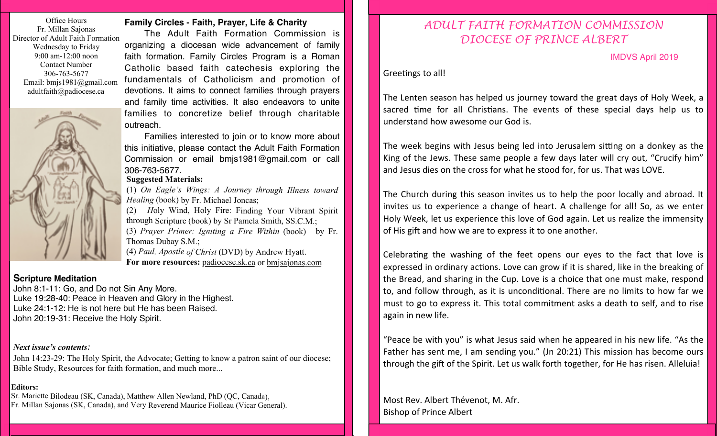Office Hours Fr. Millan Sajonas Director of Adult Faith Formation Wednesday to Friday 9:00 am-12:00 noon Contact Number 306-763-5677 Email: bmjs1981@gmail.com adultfaith@padiocese.ca



## **Family Circles - Faith, Prayer, Life & Charity**

The Adult Faith Formation Commission is organizing a diocesan wide advancement of family faith formation. Family Circles Program is a Roman Catholic based faith catechesis exploring the fundamentals of Catholicism and promotion of devotions. It aims to connect families through prayers and family time activities. It also endeavors to unite families to concretize belief through charitable outreach.

Families interested to join or to know more about this initiative, please contact the Adult Faith Formation Commission or email bmjs1981@gmail.com or call 306-763-5677.

## **Suggested Materials:**

(1) *On Eagle's Wings: A Journey through Illness toward Healing* (book) by Fr. Michael Joncas;

(2) *H*oly Wind, Holy Fire: Finding Your Vibrant Spirit through Scripture (book) by Sr Pamela Smith, SS.C.M.; (3) *Prayer Primer: Igniting a Fire Within* (book) by Fr. Thomas Dubay S.M.;

(4) *Paul, Apostle of Christ* (DVD) by Andrew Hyatt. **For more resources:** padiocese.sk.ca or bmjsajonas.com

## **Scripture Meditation**

John 8:1-11: Go, and Do not Sin Any More. Luke 19:28-40: Peace in Heaven and Glory in the Highest. Luke 24:1-12: He is not here but He has been Raised. John 20:19-31: Receive the Holy Spirit.

#### *Next issue's contents:*

John 14:23-29: The Holy Spirit, the Advocate; Getting to know a patron saint of our diocese; Bible Study, Resources for faith formation, and much more...

#### **Editors:**

Sr. Mariette Bilodeau (SK, Canada), Matthew Allen Newland, PhD (QC, Canada), Fr. Millan Sajonas (SK, Canada), and Very Reverend Maurice Fiolleau (Vicar General).

# *ADULT FAITH FORMATION COMMISSION DIOCESE OF PRINCE ALBERT*

IMDVS April 2019

Greetings to all!

The Lenten season has helped us journey toward the great days of Holy Week, a sacred time for all Christians. The events of these special days help us to understand how awesome our God is.

The week begins with Jesus being led into Jerusalem sitting on a donkey as the King of the Jews. These same people a few days later will cry out, "Crucify him" and Jesus dies on the cross for what he stood for, for us. That was LOVE.

The Church during this season invites us to help the poor locally and abroad. It invites us to experience a change of heart. A challenge for all! So, as we enter Holy Week, let us experience this love of God again. Let us realize the immensity of His gift and how we are to express it to one another.

Celebrating the washing of the feet opens our eyes to the fact that love is expressed in ordinary actions. Love can grow if it is shared, like in the breaking of the Bread, and sharing in the Cup. Love is a choice that one must make, respond to, and follow through, as it is unconditional. There are no limits to how far we must to go to express it. This total commitment asks a death to self, and to rise again in new life.

"Peace be with you" is what Jesus said when he appeared in his new life. "As the Father has sent me, I am sending you." (Jn 20:21) This mission has become ours through the gift of the Spirit. Let us walk forth together, for He has risen. Alleluia!

Most Rev. Albert Thévenot, M. Afr. **Bishop of Prince Albert**